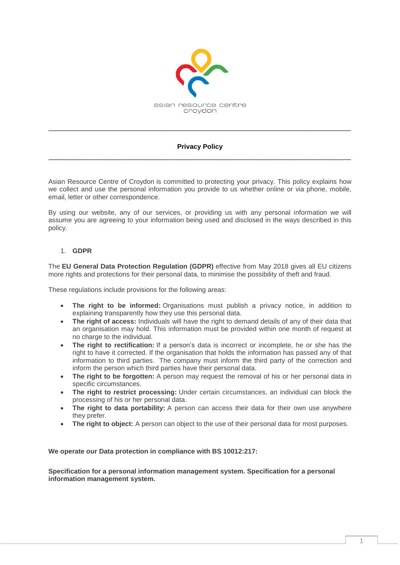

# **Privacy Policy** \_\_\_\_\_\_\_\_\_\_\_\_\_\_\_\_\_\_\_\_\_\_\_\_\_\_\_\_\_\_\_\_\_\_\_\_\_\_\_\_\_\_\_\_\_\_\_\_\_\_\_\_\_\_\_\_\_\_\_\_\_\_\_\_\_\_\_\_\_\_\_\_\_\_\_\_\_\_\_\_\_

\_\_\_\_\_\_\_\_\_\_\_\_\_\_\_\_\_\_\_\_\_\_\_\_\_\_\_\_\_\_\_\_\_\_\_\_\_\_\_\_\_\_\_\_\_\_\_\_\_\_\_\_\_\_\_\_\_\_\_\_\_\_\_\_\_\_\_\_\_\_\_\_\_\_\_\_\_\_\_\_\_

Asian Resource Centre of Croydon is committed to protecting your privacy. This policy explains how we collect and use the personal information you provide to us whether online or via phone, mobile, email, letter or other correspondence.

By using our website, any of our services, or providing us with any personal information we will assume you are agreeing to your information being used and disclosed in the ways described in this policy.

### 1. **GDPR**

The **EU General Data Protection Regulation (GDPR)** effective from May 2018 gives all EU citizens more rights and protections for their personal data, to minimise the possibility of theft and fraud.

These regulations include provisions for the following areas:

- **The right to be informed:** Organisations must publish a privacy notice, in addition to explaining transparently how they use this personal data.
- **The right of access:** Individuals will have the right to demand details of any of their data that an organisation may hold. This information must be provided within one month of request at no charge to the individual.
- **The right to rectification:** If a person's data is incorrect or incomplete, he or she has the right to have it corrected. If the organisation that holds the information has passed any of that information to third parties. The company must inform the third party of the correction and inform the person which third parties have their personal data.
- **The right to be forgotten:** A person may request the removal of his or her personal data in specific circumstances.
- **The right to restrict processing:** Under certain circumstances, an individual can block the processing of his or her personal data.
- **The right to data portability:** A person can access their data for their own use anywhere they prefer.
- **The right to object:** A person can object to the use of their personal data for most purposes.

**We operate our Data protection in compliance with BS 10012:217:** 

**Specification for a personal information management system. Specification for a personal information management system.**

1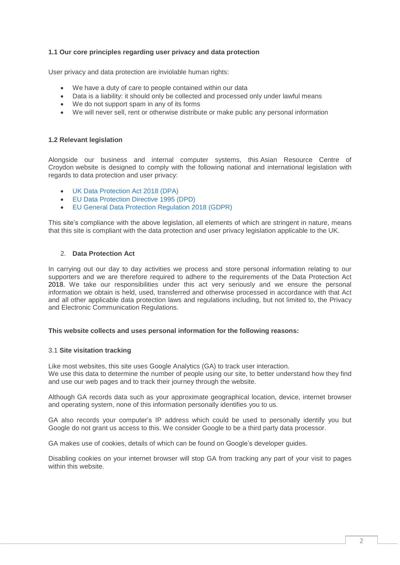# **1.1 Our core principles regarding user privacy and data protection**

User privacy and data protection are inviolable human rights:

- We have a duty of care to people contained within our data
- Data is a liability: it should only be collected and processed only under lawful means
- We do not support spam in any of its forms
- We will never sell, rent or otherwise distribute or make public any personal information

#### **1.2 Relevant legislation**

Alongside our business and internal computer systems, this Asian Resource Centre of Croydon website is designed to comply with the following national and international legislation with regards to data protection and user privacy:

- UK Data [Protection](http://www.legislation.gov.uk/ukpga/2018/12/contents/enacted) Act 2018 (DPA)
- EU Data [Protection](http://eur-lex.europa.eu/legal-content/en/ALL/?uri=CELEX:31995L0046) Directive 1995 (DPD)
- EU General Data Protection [Regulation](http://eur-lex.europa.eu/legal-content/EN/TXT/?uri=uriserv:OJ.L_.2016.119.01.0001.01.ENG&toc=OJ:L:2016:119:TOC) 2018 (GDPR)

This site's compliance with the above legislation, all elements of which are stringent in nature, means that this site is compliant with the data protection and user privacy legislation applicable to the UK.

### 2. **Data Protection Act**

In carrying out our day to day activities we process and store personal information relating to our supporters and we are therefore required to adhere to the requirements of the Data Protection Act 2018. We take our responsibilities under this act very seriously and we ensure the personal information we obtain is held, used, transferred and otherwise processed in accordance with that Act and all other applicable data protection laws and regulations including, but not limited to, the Privacy and Electronic Communication Regulations.

#### **This website collects and uses personal information for the following reasons:**

#### 3.1 **Site visitation tracking**

Like most websites, this site uses Google Analytics (GA) to track user interaction. We use this data to determine the number of people using our site, to better understand how they find and use our web pages and to track their journey through the website.

Although GA records data such as your approximate geographical location, device, internet browser and operating system, none of this information personally identifies you to us.

GA also records your computer's IP address which could be used to personally identify you but Google do not grant us access to this. We consider Google to be a third party data processor.

GA makes use of cookies, details of which can be found on Google's developer guides.

Disabling cookies on your internet browser will stop GA from tracking any part of your visit to pages within this website.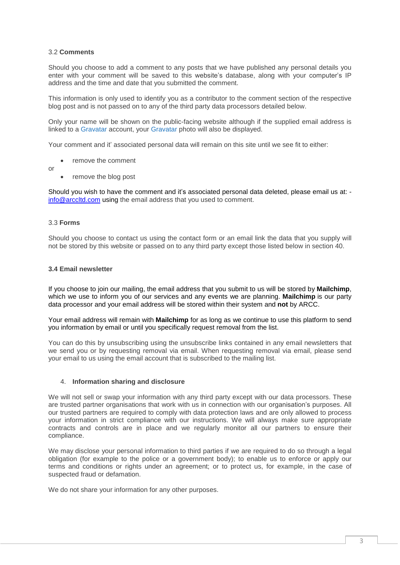# 3.2 **Comments**

Should you choose to add a comment to any posts that we have published any personal details you enter with your comment will be saved to this website's database, along with your computer's IP address and the time and date that you submitted the comment.

This information is only used to identify you as a contributor to the comment section of the respective blog post and is not passed on to any of the third party data processors detailed below.

Only your name will be shown on the public-facing website although if the supplied email address is linked to a [Gravatar](http://en.gravatar.com/) account, your [Gravatar](http://en.gravatar.com/) photo will also be displayed.

Your comment and it' associated personal data will remain on this site until we see fit to either:

- remove the comment
- or
- remove the blog post

Should you wish to have the comment and it's associated personal data deleted, please email us at: [info@arccltd.com](mailto:email@mcwas.org) using the email address that you used to comment.

#### 3.3 **Forms**

Should you choose to contact us using the contact form or an email link the data that you supply will not be stored by this website or passed on to any third party except those listed below in section 40.

### **3.4 Email newsletter**

If you choose to join our mailing, the email address that you submit to us will be stored by **Mailchimp**, which we use to inform you of our services and any events we are planning. **Mailchimp** is our party data processor and your email address will be stored within their system and **not** by ARCC.

Your email address will remain with **Mailchimp** for as long as we continue to use this platform to send you information by email or until you specifically request removal from the list.

You can do this by unsubscribing using the unsubscribe links contained in any email newsletters that we send you or by requesting removal via email. When requesting removal via email, please send your email to us using the email account that is subscribed to the mailing list.

#### 4. **Information sharing and disclosure**

We will not sell or swap your information with any third party except with our data processors. These are trusted partner organisations that work with us in connection with our organisation's purposes. All our trusted partners are required to comply with data protection laws and are only allowed to process your information in strict compliance with our instructions. We will always make sure appropriate contracts and controls are in place and we regularly monitor all our partners to ensure their compliance.

We may disclose your personal information to third parties if we are required to do so through a legal obligation (for example to the police or a government body); to enable us to enforce or apply our terms and conditions or rights under an agreement; or to protect us, for example, in the case of suspected fraud or defamation.

We do not share your information for any other purposes.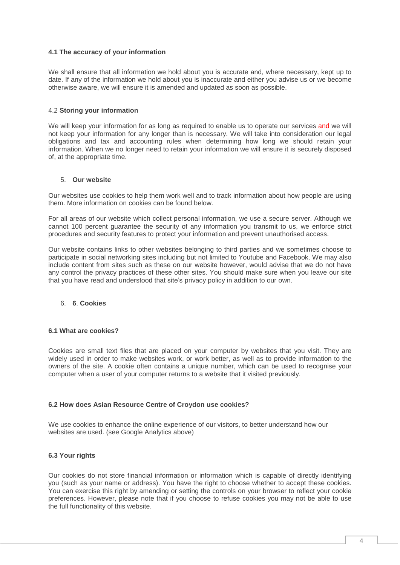### **4.1 The accuracy of your information**

We shall ensure that all information we hold about you is accurate and, where necessary, kept up to date. If any of the information we hold about you is inaccurate and either you advise us or we become otherwise aware, we will ensure it is amended and updated as soon as possible.

### 4.2 **Storing your information**

We will keep your information for as long as required to enable us to operate our services and we will not keep your information for any longer than is necessary. We will take into consideration our legal obligations and tax and accounting rules when determining how long we should retain your information. When we no longer need to retain your information we will ensure it is securely disposed of, at the appropriate time.

#### 5. **Our website**

Our websites use cookies to help them work well and to track information about how people are using them. More information on cookies can be found below.

For all areas of our website which collect personal information, we use a secure server. Although we cannot 100 percent guarantee the security of any information you transmit to us, we enforce strict procedures and security features to protect your information and prevent unauthorised access.

Our website contains links to other websites belonging to third parties and we sometimes choose to participate in social networking sites including but not limited to Youtube and Facebook. We may also include content from sites such as these on our website however, would advise that we do not have any control the privacy practices of these other sites. You should make sure when you leave our site that you have read and understood that site's privacy policy in addition to our own.

#### 6. **6**. **Cookies**

### **6.1 What are cookies?**

Cookies are small text files that are placed on your computer by websites that you visit. They are widely used in order to make websites work, or work better, as well as to provide information to the owners of the site. A cookie often contains a unique number, which can be used to recognise your computer when a user of your computer returns to a website that it visited previously.

#### **6.2 How does Asian Resource Centre of Croydon use cookies?**

We use cookies to enhance the online experience of our visitors, to better understand how our websites are used. (see Google Analytics above)

#### **6.3 Your rights**

Our cookies do not store financial information or information which is capable of directly identifying you (such as your name or address). You have the right to choose whether to accept these cookies. You can exercise this right by amending or setting the controls on your browser to reflect your cookie preferences. However, please note that if you choose to refuse cookies you may not be able to use the full functionality of this website.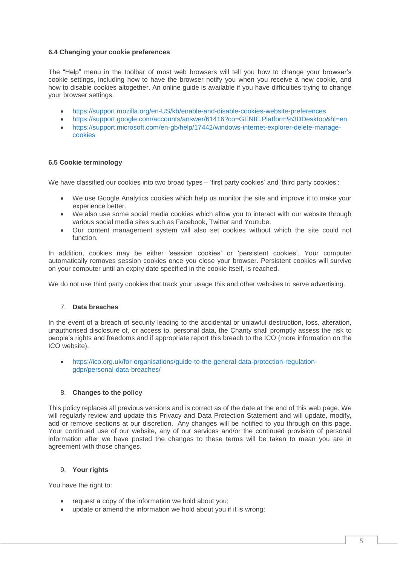# **6.4 Changing your cookie preferences**

The "Help" menu in the toolbar of most web browsers will tell you how to change your browser's cookie settings, including how to have the browser notify you when you receive a new cookie, and how to disable cookies altogether. An online guide is available if you have difficulties trying to change your browser settings.

- <https://support.mozilla.org/en-US/kb/enable-and-disable-cookies-website-preferences>
- <https://support.google.com/accounts/answer/61416?co=GENIE.Platform%3DDesktop&hl=en>
- [https://support.microsoft.com/en-gb/help/17442/windows-internet-explorer-delete-manage](https://support.microsoft.com/en-gb/help/17442/windows-internet-explorer-delete-manage-cookies)[cookies](https://support.microsoft.com/en-gb/help/17442/windows-internet-explorer-delete-manage-cookies)

# **6.5 Cookie terminology**

We have classified our cookies into two broad types – 'first party cookies' and 'third party cookies':

- We use Google Analytics cookies which help us monitor the site and improve it to make your experience better.
- We also use some social media cookies which allow you to interact with our website through various social media sites such as Facebook, Twitter and Youtube.
- Our content management system will also set cookies without which the site could not function.

In addition, cookies may be either 'session cookies' or 'persistent cookies'. Your computer automatically removes session cookies once you close your browser. Persistent cookies will survive on your computer until an expiry date specified in the cookie itself, is reached.

We do not use third party cookies that track your usage this and other websites to serve advertising.

# 7. **Data breaches**

In the event of a breach of security leading to the accidental or unlawful destruction, loss, alteration, unauthorised disclosure of, or access to, personal data, the Charity shall promptly assess the risk to people's rights and freedoms and if appropriate report this breach to the ICO (more information on the ICO website).

 [https://ico.org.uk/for-organisations/guide-to-the-general-data-protection-regulation](https://ico.org.uk/for-organisations/guide-to-the-general-data-protection-regulation-gdpr/personal-data-breaches/)[gdpr/personal-data-breaches/](https://ico.org.uk/for-organisations/guide-to-the-general-data-protection-regulation-gdpr/personal-data-breaches/)

# 8. **Changes to the policy**

This policy replaces all previous versions and is correct as of the date at the end of this web page. We will regularly review and update this Privacy and Data Protection Statement and will update, modify, add or remove sections at our discretion. Any changes will be notified to you through on this page. Your continued use of our website, any of our services and/or the continued provision of personal information after we have posted the changes to these terms will be taken to mean you are in agreement with those changes.

#### 9. **Your rights**

You have the right to:

- request a copy of the information we hold about you;
- update or amend the information we hold about you if it is wrong;